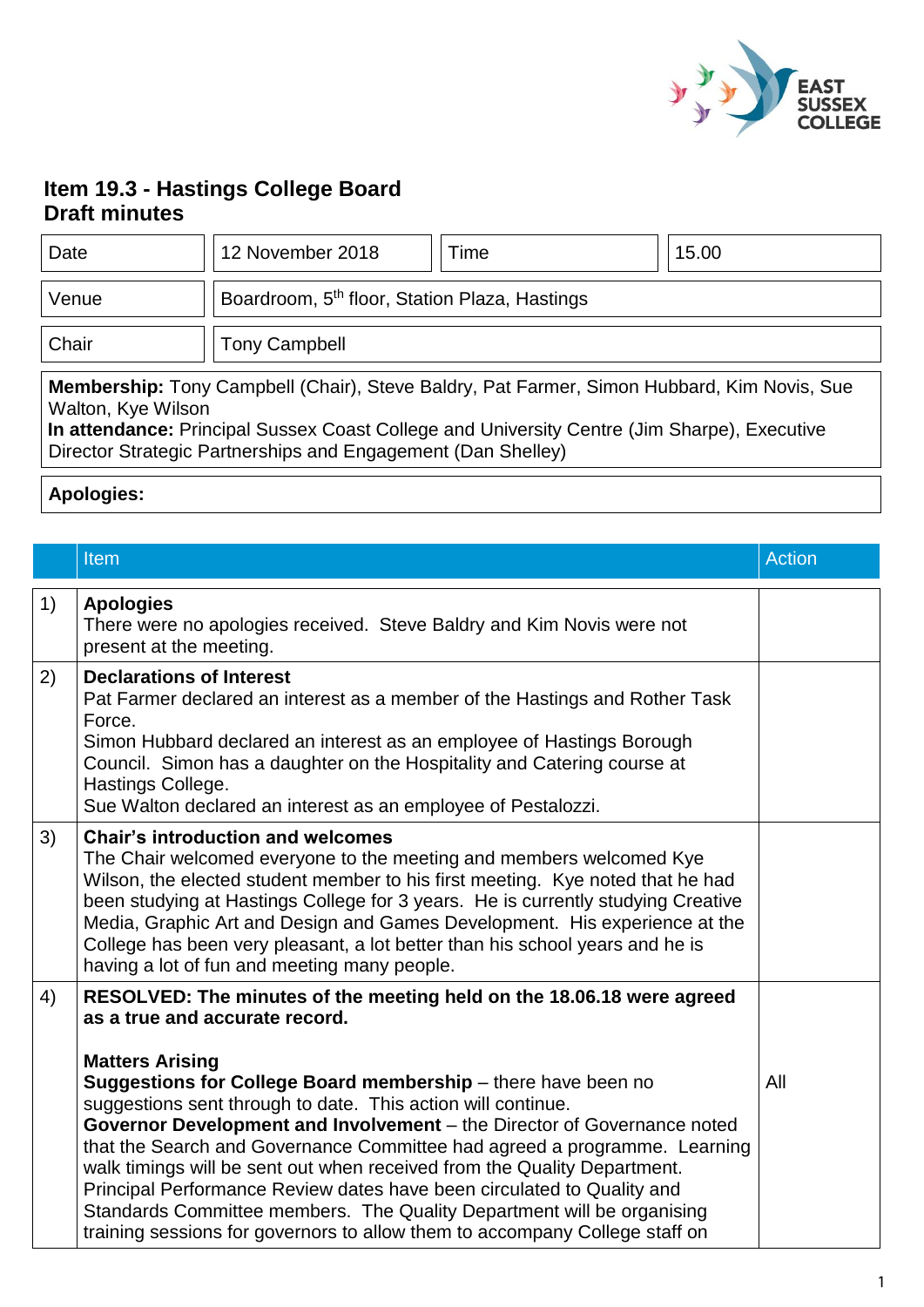

# **Item 19.3 - Hastings College Board Draft minutes**

| Date                                                                                                                                                                                                                                                                            | 12 November 2018                                          | Time | 15.00 |
|---------------------------------------------------------------------------------------------------------------------------------------------------------------------------------------------------------------------------------------------------------------------------------|-----------------------------------------------------------|------|-------|
| Venue                                                                                                                                                                                                                                                                           | Boardroom, 5 <sup>th</sup> floor, Station Plaza, Hastings |      |       |
| Chair                                                                                                                                                                                                                                                                           | <b>Tony Campbell</b>                                      |      |       |
| Membership: Tony Campbell (Chair), Steve Baldry, Pat Farmer, Simon Hubbard, Kim Novis, Sue<br>Walton, Kye Wilson<br>In attendance: Principal Sussex Coast College and University Centre (Jim Sharpe), Executive<br>Director Strategic Partnerships and Engagement (Dan Shelley) |                                                           |      |       |

**Apologies:** 

|    | Item                                                                                                                                                                                                                                                                                                                                                                                                                                                                                                                                                                                                 | <b>Action</b> |
|----|------------------------------------------------------------------------------------------------------------------------------------------------------------------------------------------------------------------------------------------------------------------------------------------------------------------------------------------------------------------------------------------------------------------------------------------------------------------------------------------------------------------------------------------------------------------------------------------------------|---------------|
| 1) | <b>Apologies</b><br>There were no apologies received. Steve Baldry and Kim Novis were not<br>present at the meeting.                                                                                                                                                                                                                                                                                                                                                                                                                                                                                 |               |
| 2) | <b>Declarations of Interest</b><br>Pat Farmer declared an interest as a member of the Hastings and Rother Task<br>Force.<br>Simon Hubbard declared an interest as an employee of Hastings Borough<br>Council. Simon has a daughter on the Hospitality and Catering course at<br>Hastings College.<br>Sue Walton declared an interest as an employee of Pestalozzi.                                                                                                                                                                                                                                   |               |
| 3) | <b>Chair's introduction and welcomes</b><br>The Chair welcomed everyone to the meeting and members welcomed Kye<br>Wilson, the elected student member to his first meeting. Kye noted that he had<br>been studying at Hastings College for 3 years. He is currently studying Creative<br>Media, Graphic Art and Design and Games Development. His experience at the<br>College has been very pleasant, a lot better than his school years and he is<br>having a lot of fun and meeting many people.                                                                                                  |               |
| 4) | RESOLVED: The minutes of the meeting held on the 18.06.18 were agreed<br>as a true and accurate record.<br><b>Matters Arising</b>                                                                                                                                                                                                                                                                                                                                                                                                                                                                    |               |
|    | Suggestions for College Board membership - there have been no<br>suggestions sent through to date. This action will continue.<br>Governor Development and Involvement - the Director of Governance noted<br>that the Search and Governance Committee had agreed a programme. Learning<br>walk timings will be sent out when received from the Quality Department.<br>Principal Performance Review dates have been circulated to Quality and<br>Standards Committee members. The Quality Department will be organising<br>training sessions for governors to allow them to accompany College staff on | All           |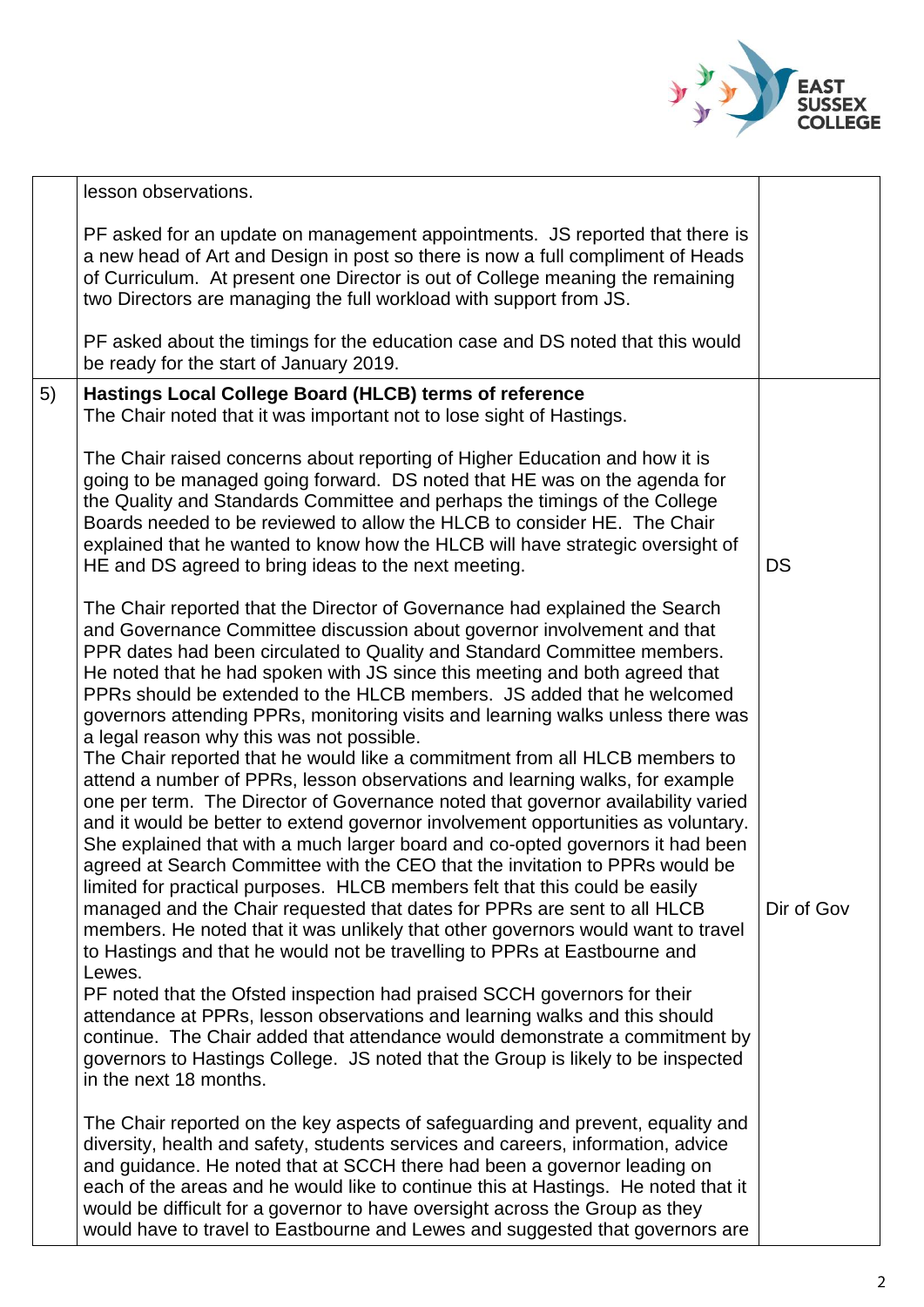

|    | lesson observations.                                                                                                                                                                                                                                                                                                                                                                                                                                                                                                                                                                                                                                                                                                                                                                                                                                                                                                                                                                                                                                                                                                                                                                                                                                                                                                                                                                                                                                                                                                                                                                                                                                                                                                                                                                                                                                                                                                                                                                                                                                                                                                                                                                                                                         |            |
|----|----------------------------------------------------------------------------------------------------------------------------------------------------------------------------------------------------------------------------------------------------------------------------------------------------------------------------------------------------------------------------------------------------------------------------------------------------------------------------------------------------------------------------------------------------------------------------------------------------------------------------------------------------------------------------------------------------------------------------------------------------------------------------------------------------------------------------------------------------------------------------------------------------------------------------------------------------------------------------------------------------------------------------------------------------------------------------------------------------------------------------------------------------------------------------------------------------------------------------------------------------------------------------------------------------------------------------------------------------------------------------------------------------------------------------------------------------------------------------------------------------------------------------------------------------------------------------------------------------------------------------------------------------------------------------------------------------------------------------------------------------------------------------------------------------------------------------------------------------------------------------------------------------------------------------------------------------------------------------------------------------------------------------------------------------------------------------------------------------------------------------------------------------------------------------------------------------------------------------------------------|------------|
|    | PF asked for an update on management appointments. JS reported that there is<br>a new head of Art and Design in post so there is now a full compliment of Heads<br>of Curriculum. At present one Director is out of College meaning the remaining<br>two Directors are managing the full workload with support from JS.                                                                                                                                                                                                                                                                                                                                                                                                                                                                                                                                                                                                                                                                                                                                                                                                                                                                                                                                                                                                                                                                                                                                                                                                                                                                                                                                                                                                                                                                                                                                                                                                                                                                                                                                                                                                                                                                                                                      |            |
|    | PF asked about the timings for the education case and DS noted that this would<br>be ready for the start of January 2019.                                                                                                                                                                                                                                                                                                                                                                                                                                                                                                                                                                                                                                                                                                                                                                                                                                                                                                                                                                                                                                                                                                                                                                                                                                                                                                                                                                                                                                                                                                                                                                                                                                                                                                                                                                                                                                                                                                                                                                                                                                                                                                                    |            |
| 5) | Hastings Local College Board (HLCB) terms of reference<br>The Chair noted that it was important not to lose sight of Hastings.                                                                                                                                                                                                                                                                                                                                                                                                                                                                                                                                                                                                                                                                                                                                                                                                                                                                                                                                                                                                                                                                                                                                                                                                                                                                                                                                                                                                                                                                                                                                                                                                                                                                                                                                                                                                                                                                                                                                                                                                                                                                                                               |            |
|    | The Chair raised concerns about reporting of Higher Education and how it is<br>going to be managed going forward. DS noted that HE was on the agenda for<br>the Quality and Standards Committee and perhaps the timings of the College<br>Boards needed to be reviewed to allow the HLCB to consider HE. The Chair<br>explained that he wanted to know how the HLCB will have strategic oversight of<br>HE and DS agreed to bring ideas to the next meeting.                                                                                                                                                                                                                                                                                                                                                                                                                                                                                                                                                                                                                                                                                                                                                                                                                                                                                                                                                                                                                                                                                                                                                                                                                                                                                                                                                                                                                                                                                                                                                                                                                                                                                                                                                                                 | <b>DS</b>  |
|    | The Chair reported that the Director of Governance had explained the Search<br>and Governance Committee discussion about governor involvement and that<br>PPR dates had been circulated to Quality and Standard Committee members.<br>He noted that he had spoken with JS since this meeting and both agreed that<br>PPRs should be extended to the HLCB members. JS added that he welcomed<br>governors attending PPRs, monitoring visits and learning walks unless there was<br>a legal reason why this was not possible.<br>The Chair reported that he would like a commitment from all HLCB members to<br>attend a number of PPRs, lesson observations and learning walks, for example<br>one per term. The Director of Governance noted that governor availability varied<br>and it would be better to extend governor involvement opportunities as voluntary.<br>She explained that with a much larger board and co-opted governors it had been<br>agreed at Search Committee with the CEO that the invitation to PPRs would be<br>limited for practical purposes. HLCB members felt that this could be easily<br>managed and the Chair requested that dates for PPRs are sent to all HLCB<br>members. He noted that it was unlikely that other governors would want to travel<br>to Hastings and that he would not be travelling to PPRs at Eastbourne and<br>Lewes.<br>PF noted that the Ofsted inspection had praised SCCH governors for their<br>attendance at PPRs, lesson observations and learning walks and this should<br>continue. The Chair added that attendance would demonstrate a commitment by<br>governors to Hastings College. JS noted that the Group is likely to be inspected<br>in the next 18 months.<br>The Chair reported on the key aspects of safeguarding and prevent, equality and<br>diversity, health and safety, students services and careers, information, advice<br>and guidance. He noted that at SCCH there had been a governor leading on<br>each of the areas and he would like to continue this at Hastings. He noted that it<br>would be difficult for a governor to have oversight across the Group as they<br>would have to travel to Eastbourne and Lewes and suggested that governors are | Dir of Gov |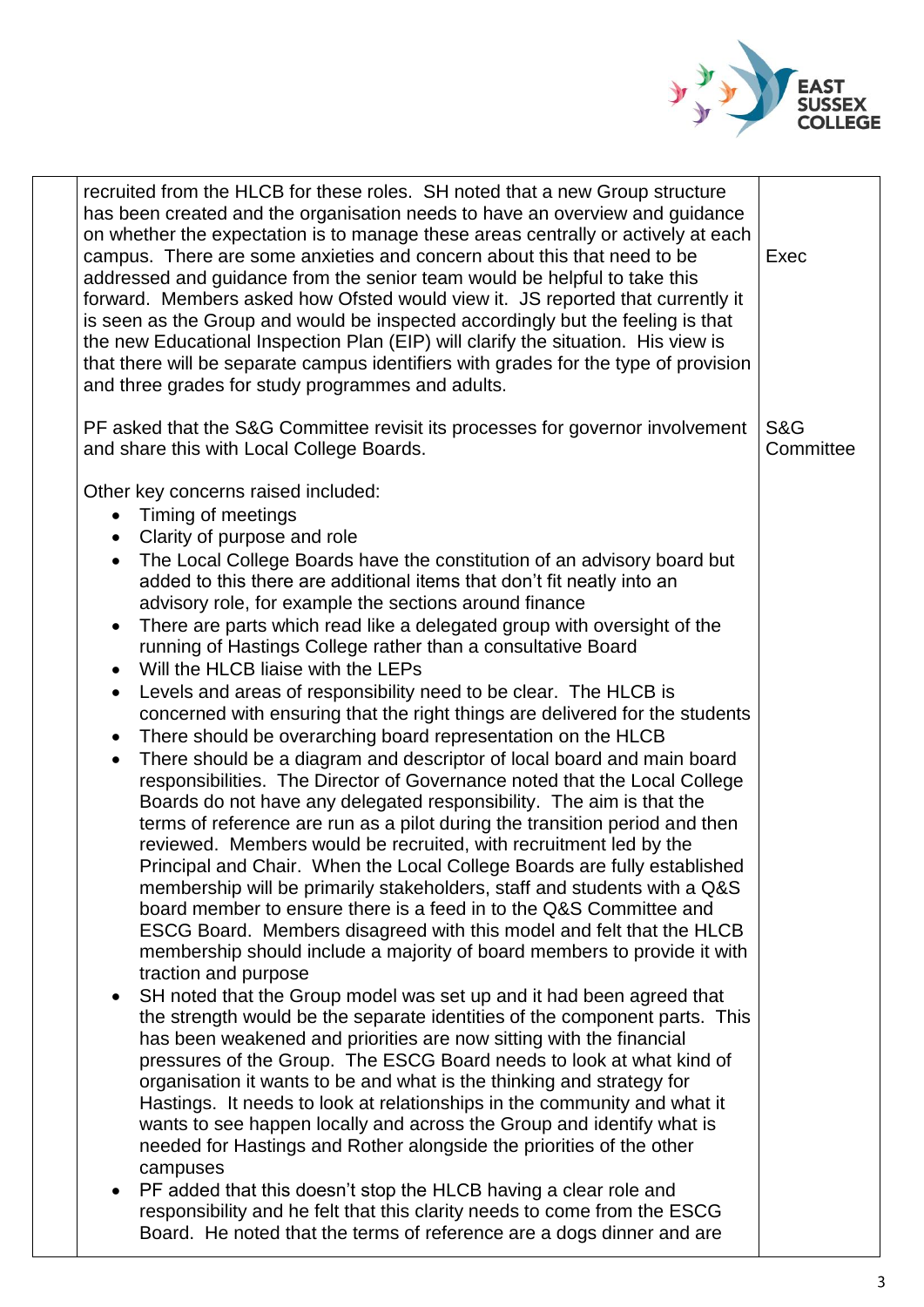

| recruited from the HLCB for these roles. SH noted that a new Group structure<br>has been created and the organisation needs to have an overview and quidance<br>on whether the expectation is to manage these areas centrally or actively at each<br>campus. There are some anxieties and concern about this that need to be<br>addressed and guidance from the senior team would be helpful to take this<br>forward. Members asked how Ofsted would view it. JS reported that currently it<br>is seen as the Group and would be inspected accordingly but the feeling is that<br>the new Educational Inspection Plan (EIP) will clarify the situation. His view is<br>that there will be separate campus identifiers with grades for the type of provision<br>and three grades for study programmes and adults.                                                                                                                                                                                                                                                                                                                                                                                                                                                                                                                                                                                                                                                                                                                                                                                                                                                                                                                                                                                                                                                                                                                                                                                                                                                                                                                                                                                                                                                                                                                                                                                                                                                  | Exec             |
|-------------------------------------------------------------------------------------------------------------------------------------------------------------------------------------------------------------------------------------------------------------------------------------------------------------------------------------------------------------------------------------------------------------------------------------------------------------------------------------------------------------------------------------------------------------------------------------------------------------------------------------------------------------------------------------------------------------------------------------------------------------------------------------------------------------------------------------------------------------------------------------------------------------------------------------------------------------------------------------------------------------------------------------------------------------------------------------------------------------------------------------------------------------------------------------------------------------------------------------------------------------------------------------------------------------------------------------------------------------------------------------------------------------------------------------------------------------------------------------------------------------------------------------------------------------------------------------------------------------------------------------------------------------------------------------------------------------------------------------------------------------------------------------------------------------------------------------------------------------------------------------------------------------------------------------------------------------------------------------------------------------------------------------------------------------------------------------------------------------------------------------------------------------------------------------------------------------------------------------------------------------------------------------------------------------------------------------------------------------------------------------------------------------------------------------------------------------------|------------------|
| PF asked that the S&G Committee revisit its processes for governor involvement<br>and share this with Local College Boards.                                                                                                                                                                                                                                                                                                                                                                                                                                                                                                                                                                                                                                                                                                                                                                                                                                                                                                                                                                                                                                                                                                                                                                                                                                                                                                                                                                                                                                                                                                                                                                                                                                                                                                                                                                                                                                                                                                                                                                                                                                                                                                                                                                                                                                                                                                                                       | S&G<br>Committee |
| Other key concerns raised included:<br>Timing of meetings<br>$\bullet$<br>Clarity of purpose and role<br>$\bullet$<br>The Local College Boards have the constitution of an advisory board but<br>added to this there are additional items that don't fit neatly into an<br>advisory role, for example the sections around finance<br>There are parts which read like a delegated group with oversight of the<br>$\bullet$<br>running of Hastings College rather than a consultative Board<br>Will the HLCB liaise with the LEPs<br>$\bullet$<br>Levels and areas of responsibility need to be clear. The HLCB is<br>$\bullet$<br>concerned with ensuring that the right things are delivered for the students<br>There should be overarching board representation on the HLCB<br>$\bullet$<br>There should be a diagram and descriptor of local board and main board<br>$\bullet$<br>responsibilities. The Director of Governance noted that the Local College<br>Boards do not have any delegated responsibility. The aim is that the<br>terms of reference are run as a pilot during the transition period and then<br>reviewed. Members would be recruited, with recruitment led by the<br>Principal and Chair. When the Local College Boards are fully established<br>membership will be primarily stakeholders, staff and students with a Q&S<br>board member to ensure there is a feed in to the Q&S Committee and<br>ESCG Board. Members disagreed with this model and felt that the HLCB<br>membership should include a majority of board members to provide it with<br>traction and purpose<br>SH noted that the Group model was set up and it had been agreed that<br>$\bullet$<br>the strength would be the separate identities of the component parts. This<br>has been weakened and priorities are now sitting with the financial<br>pressures of the Group. The ESCG Board needs to look at what kind of<br>organisation it wants to be and what is the thinking and strategy for<br>Hastings. It needs to look at relationships in the community and what it<br>wants to see happen locally and across the Group and identify what is<br>needed for Hastings and Rother alongside the priorities of the other<br>campuses<br>PF added that this doesn't stop the HLCB having a clear role and<br>responsibility and he felt that this clarity needs to come from the ESCG<br>Board. He noted that the terms of reference are a dogs dinner and are |                  |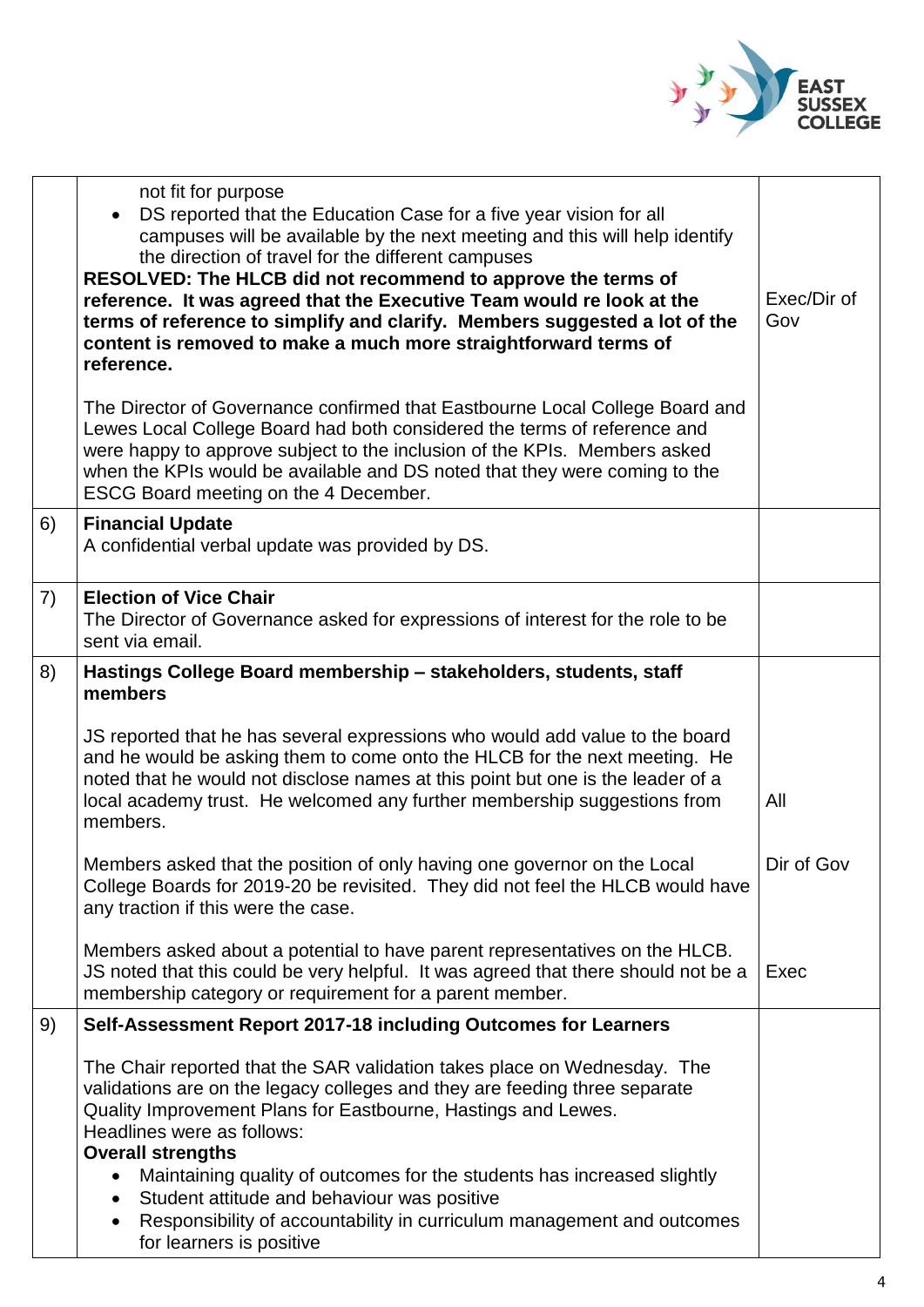

|    | not fit for purpose<br>DS reported that the Education Case for a five year vision for all<br>campuses will be available by the next meeting and this will help identify<br>the direction of travel for the different campuses<br>RESOLVED: The HLCB did not recommend to approve the terms of<br>reference. It was agreed that the Executive Team would re look at the<br>terms of reference to simplify and clarify. Members suggested a lot of the<br>content is removed to make a much more straightforward terms of<br>reference.<br>The Director of Governance confirmed that Eastbourne Local College Board and<br>Lewes Local College Board had both considered the terms of reference and<br>were happy to approve subject to the inclusion of the KPIs. Members asked<br>when the KPIs would be available and DS noted that they were coming to the | Exec/Dir of<br>Gov |
|----|--------------------------------------------------------------------------------------------------------------------------------------------------------------------------------------------------------------------------------------------------------------------------------------------------------------------------------------------------------------------------------------------------------------------------------------------------------------------------------------------------------------------------------------------------------------------------------------------------------------------------------------------------------------------------------------------------------------------------------------------------------------------------------------------------------------------------------------------------------------|--------------------|
| 6) | ESCG Board meeting on the 4 December.<br><b>Financial Update</b><br>A confidential verbal update was provided by DS.                                                                                                                                                                                                                                                                                                                                                                                                                                                                                                                                                                                                                                                                                                                                         |                    |
|    |                                                                                                                                                                                                                                                                                                                                                                                                                                                                                                                                                                                                                                                                                                                                                                                                                                                              |                    |
| 7) | <b>Election of Vice Chair</b><br>The Director of Governance asked for expressions of interest for the role to be<br>sent via email.                                                                                                                                                                                                                                                                                                                                                                                                                                                                                                                                                                                                                                                                                                                          |                    |
| 8) | Hastings College Board membership - stakeholders, students, staff<br>members                                                                                                                                                                                                                                                                                                                                                                                                                                                                                                                                                                                                                                                                                                                                                                                 |                    |
|    | JS reported that he has several expressions who would add value to the board<br>and he would be asking them to come onto the HLCB for the next meeting. He<br>noted that he would not disclose names at this point but one is the leader of a<br>local academy trust. He welcomed any further membership suggestions from<br>members.                                                                                                                                                                                                                                                                                                                                                                                                                                                                                                                        | All                |
|    | Members asked that the position of only having one governor on the Local<br>College Boards for 2019-20 be revisited. They did not feel the HLCB would have<br>any traction if this were the case.                                                                                                                                                                                                                                                                                                                                                                                                                                                                                                                                                                                                                                                            | Dir of Gov         |
|    | Members asked about a potential to have parent representatives on the HLCB.<br>JS noted that this could be very helpful. It was agreed that there should not be a<br>membership category or requirement for a parent member.                                                                                                                                                                                                                                                                                                                                                                                                                                                                                                                                                                                                                                 | Exec               |
| 9) | Self-Assessment Report 2017-18 including Outcomes for Learners                                                                                                                                                                                                                                                                                                                                                                                                                                                                                                                                                                                                                                                                                                                                                                                               |                    |
|    | The Chair reported that the SAR validation takes place on Wednesday. The<br>validations are on the legacy colleges and they are feeding three separate<br>Quality Improvement Plans for Eastbourne, Hastings and Lewes.<br>Headlines were as follows:<br><b>Overall strengths</b><br>Maintaining quality of outcomes for the students has increased slightly<br>Student attitude and behaviour was positive<br>Responsibility of accountability in curriculum management and outcomes<br>for learners is positive                                                                                                                                                                                                                                                                                                                                            |                    |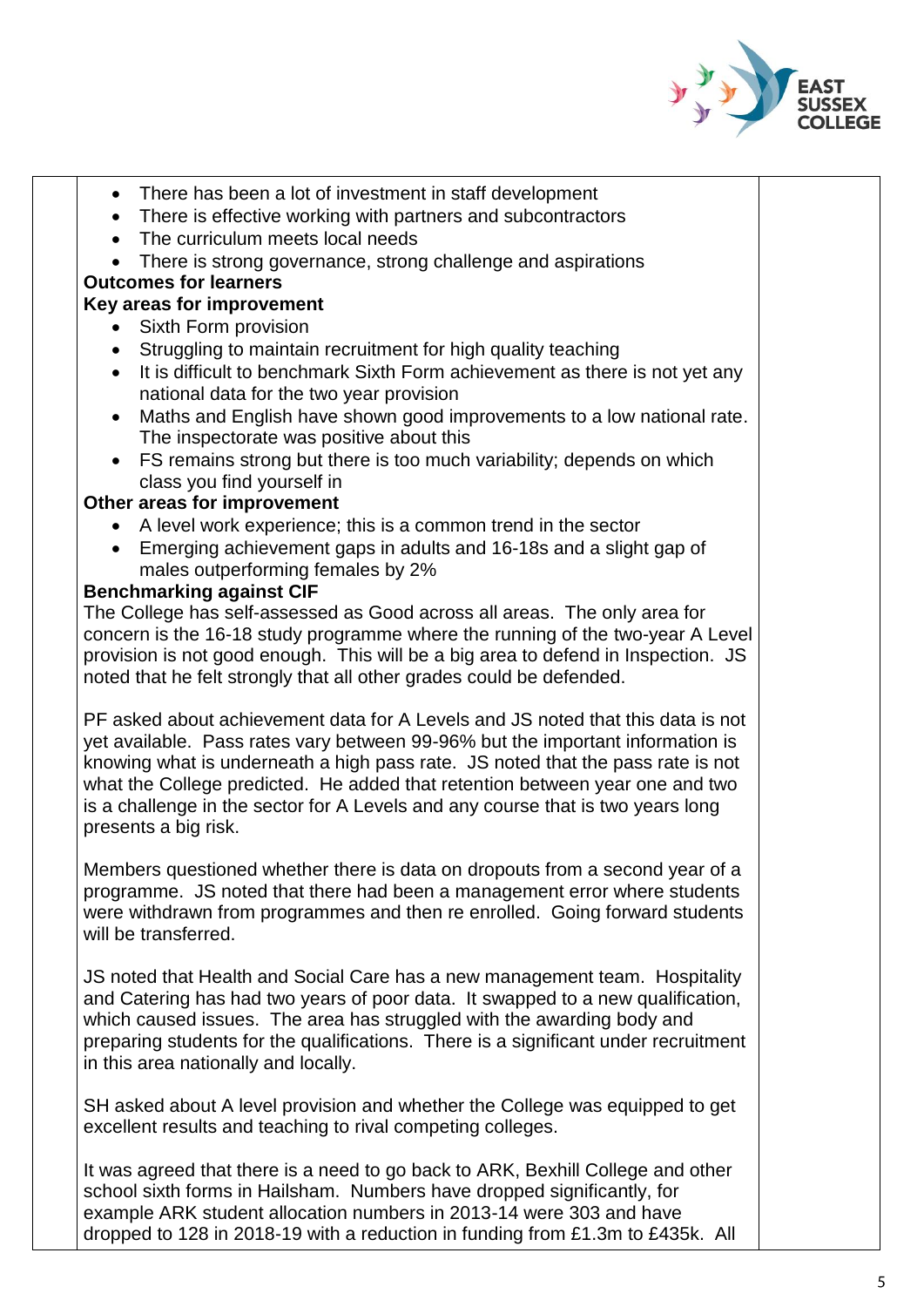

- There has been a lot of investment in staff development
- There is effective working with partners and subcontractors
- The curriculum meets local needs
- There is strong governance, strong challenge and aspirations

## **Outcomes for learners**

### **Key areas for improvement**

- Sixth Form provision
- Struggling to maintain recruitment for high quality teaching
- It is difficult to benchmark Sixth Form achievement as there is not vet any national data for the two year provision
- Maths and English have shown good improvements to a low national rate. The inspectorate was positive about this
- FS remains strong but there is too much variability; depends on which class you find yourself in

#### **Other areas for improvement**

- A level work experience; this is a common trend in the sector
- Emerging achievement gaps in adults and 16-18s and a slight gap of males outperforming females by 2%

#### **Benchmarking against CIF**

The College has self-assessed as Good across all areas. The only area for concern is the 16-18 study programme where the running of the two-year A Level provision is not good enough. This will be a big area to defend in Inspection. JS noted that he felt strongly that all other grades could be defended.

PF asked about achievement data for A Levels and JS noted that this data is not yet available. Pass rates vary between 99-96% but the important information is knowing what is underneath a high pass rate. JS noted that the pass rate is not what the College predicted. He added that retention between year one and two is a challenge in the sector for A Levels and any course that is two years long presents a big risk.

Members questioned whether there is data on dropouts from a second year of a programme. JS noted that there had been a management error where students were withdrawn from programmes and then re enrolled. Going forward students will be transferred.

JS noted that Health and Social Care has a new management team. Hospitality and Catering has had two years of poor data. It swapped to a new qualification, which caused issues. The area has struggled with the awarding body and preparing students for the qualifications. There is a significant under recruitment in this area nationally and locally.

SH asked about A level provision and whether the College was equipped to get excellent results and teaching to rival competing colleges.

It was agreed that there is a need to go back to ARK, Bexhill College and other school sixth forms in Hailsham. Numbers have dropped significantly, for example ARK student allocation numbers in 2013-14 were 303 and have dropped to 128 in 2018-19 with a reduction in funding from £1.3m to £435k. All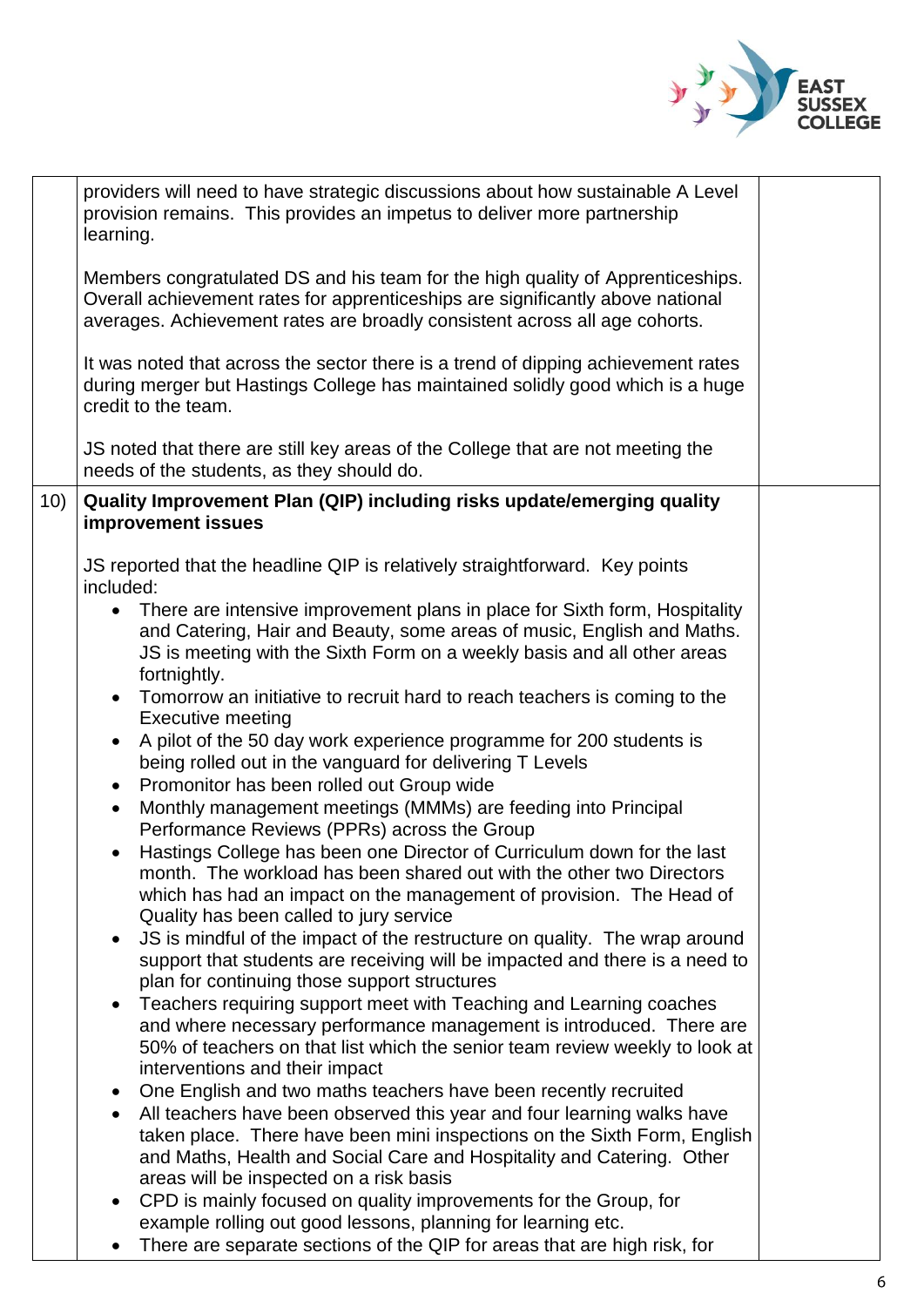

|     | providers will need to have strategic discussions about how sustainable A Level<br>provision remains. This provides an impetus to deliver more partnership<br>learning.                                                                                                 |  |
|-----|-------------------------------------------------------------------------------------------------------------------------------------------------------------------------------------------------------------------------------------------------------------------------|--|
|     | Members congratulated DS and his team for the high quality of Apprenticeships.<br>Overall achievement rates for apprenticeships are significantly above national<br>averages. Achievement rates are broadly consistent across all age cohorts.                          |  |
|     | It was noted that across the sector there is a trend of dipping achievement rates<br>during merger but Hastings College has maintained solidly good which is a huge<br>credit to the team.                                                                              |  |
|     | JS noted that there are still key areas of the College that are not meeting the<br>needs of the students, as they should do.                                                                                                                                            |  |
| 10) | Quality Improvement Plan (QIP) including risks update/emerging quality<br>improvement issues                                                                                                                                                                            |  |
|     | JS reported that the headline QIP is relatively straightforward. Key points<br>included:                                                                                                                                                                                |  |
|     | There are intensive improvement plans in place for Sixth form, Hospitality<br>$\bullet$<br>and Catering, Hair and Beauty, some areas of music, English and Maths.<br>JS is meeting with the Sixth Form on a weekly basis and all other areas<br>fortnightly.            |  |
|     | Tomorrow an initiative to recruit hard to reach teachers is coming to the<br><b>Executive meeting</b>                                                                                                                                                                   |  |
|     | A pilot of the 50 day work experience programme for 200 students is<br>being rolled out in the vanguard for delivering T Levels                                                                                                                                         |  |
|     | Promonitor has been rolled out Group wide<br>$\bullet$<br>Monthly management meetings (MMMs) are feeding into Principal<br>$\bullet$<br>Performance Reviews (PPRs) across the Group                                                                                     |  |
|     | Hastings College has been one Director of Curriculum down for the last<br>month. The workload has been shared out with the other two Directors<br>which has had an impact on the management of provision. The Head of<br>Quality has been called to jury service        |  |
|     | JS is mindful of the impact of the restructure on quality. The wrap around<br>support that students are receiving will be impacted and there is a need to<br>plan for continuing those support structures                                                               |  |
|     | Teachers requiring support meet with Teaching and Learning coaches<br>$\bullet$<br>and where necessary performance management is introduced. There are<br>50% of teachers on that list which the senior team review weekly to look at<br>interventions and their impact |  |
|     | One English and two maths teachers have been recently recruited<br>All teachers have been observed this year and four learning walks have                                                                                                                               |  |
|     | taken place. There have been mini inspections on the Sixth Form, English<br>and Maths, Health and Social Care and Hospitality and Catering. Other<br>areas will be inspected on a risk basis                                                                            |  |
|     | CPD is mainly focused on quality improvements for the Group, for<br>$\bullet$<br>example rolling out good lessons, planning for learning etc.                                                                                                                           |  |
|     | There are separate sections of the QIP for areas that are high risk, for                                                                                                                                                                                                |  |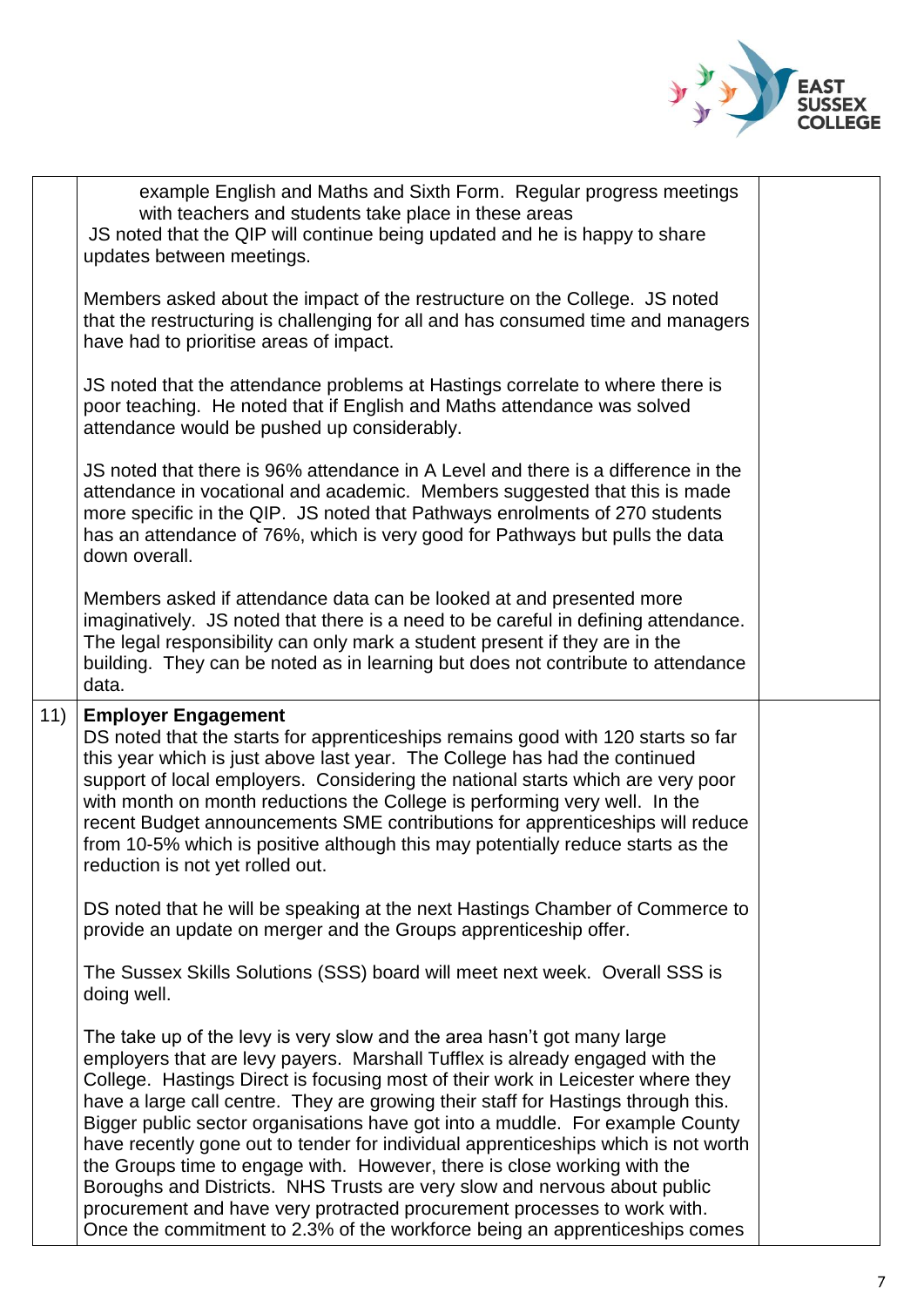

|     | example English and Maths and Sixth Form. Regular progress meetings<br>with teachers and students take place in these areas<br>JS noted that the QIP will continue being updated and he is happy to share<br>updates between meetings.                                                                                                                                                                                                                                                                                                                                                                                                                          |  |
|-----|-----------------------------------------------------------------------------------------------------------------------------------------------------------------------------------------------------------------------------------------------------------------------------------------------------------------------------------------------------------------------------------------------------------------------------------------------------------------------------------------------------------------------------------------------------------------------------------------------------------------------------------------------------------------|--|
|     | Members asked about the impact of the restructure on the College. JS noted<br>that the restructuring is challenging for all and has consumed time and managers<br>have had to prioritise areas of impact.                                                                                                                                                                                                                                                                                                                                                                                                                                                       |  |
|     | JS noted that the attendance problems at Hastings correlate to where there is<br>poor teaching. He noted that if English and Maths attendance was solved<br>attendance would be pushed up considerably.                                                                                                                                                                                                                                                                                                                                                                                                                                                         |  |
|     | JS noted that there is 96% attendance in A Level and there is a difference in the<br>attendance in vocational and academic. Members suggested that this is made<br>more specific in the QIP. JS noted that Pathways enrolments of 270 students<br>has an attendance of 76%, which is very good for Pathways but pulls the data<br>down overall.                                                                                                                                                                                                                                                                                                                 |  |
|     | Members asked if attendance data can be looked at and presented more<br>imaginatively. JS noted that there is a need to be careful in defining attendance.<br>The legal responsibility can only mark a student present if they are in the<br>building. They can be noted as in learning but does not contribute to attendance<br>data.                                                                                                                                                                                                                                                                                                                          |  |
| 11) | <b>Employer Engagement</b><br>DS noted that the starts for apprenticeships remains good with 120 starts so far<br>this year which is just above last year. The College has had the continued<br>support of local employers. Considering the national starts which are very poor<br>with month on month reductions the College is performing very well. In the<br>recent Budget announcements SME contributions for apprenticeships will reduce<br>from 10-5% which is positive although this may potentially reduce starts as the<br>reduction is not yet rolled out.                                                                                           |  |
|     | DS noted that he will be speaking at the next Hastings Chamber of Commerce to<br>provide an update on merger and the Groups apprenticeship offer.                                                                                                                                                                                                                                                                                                                                                                                                                                                                                                               |  |
|     | The Sussex Skills Solutions (SSS) board will meet next week. Overall SSS is<br>doing well.                                                                                                                                                                                                                                                                                                                                                                                                                                                                                                                                                                      |  |
|     | The take up of the levy is very slow and the area hasn't got many large<br>employers that are levy payers. Marshall Tufflex is already engaged with the<br>College. Hastings Direct is focusing most of their work in Leicester where they<br>have a large call centre. They are growing their staff for Hastings through this.<br>Bigger public sector organisations have got into a muddle. For example County<br>have recently gone out to tender for individual apprenticeships which is not worth<br>the Groups time to engage with. However, there is close working with the<br>Boroughs and Districts. NHS Trusts are very slow and nervous about public |  |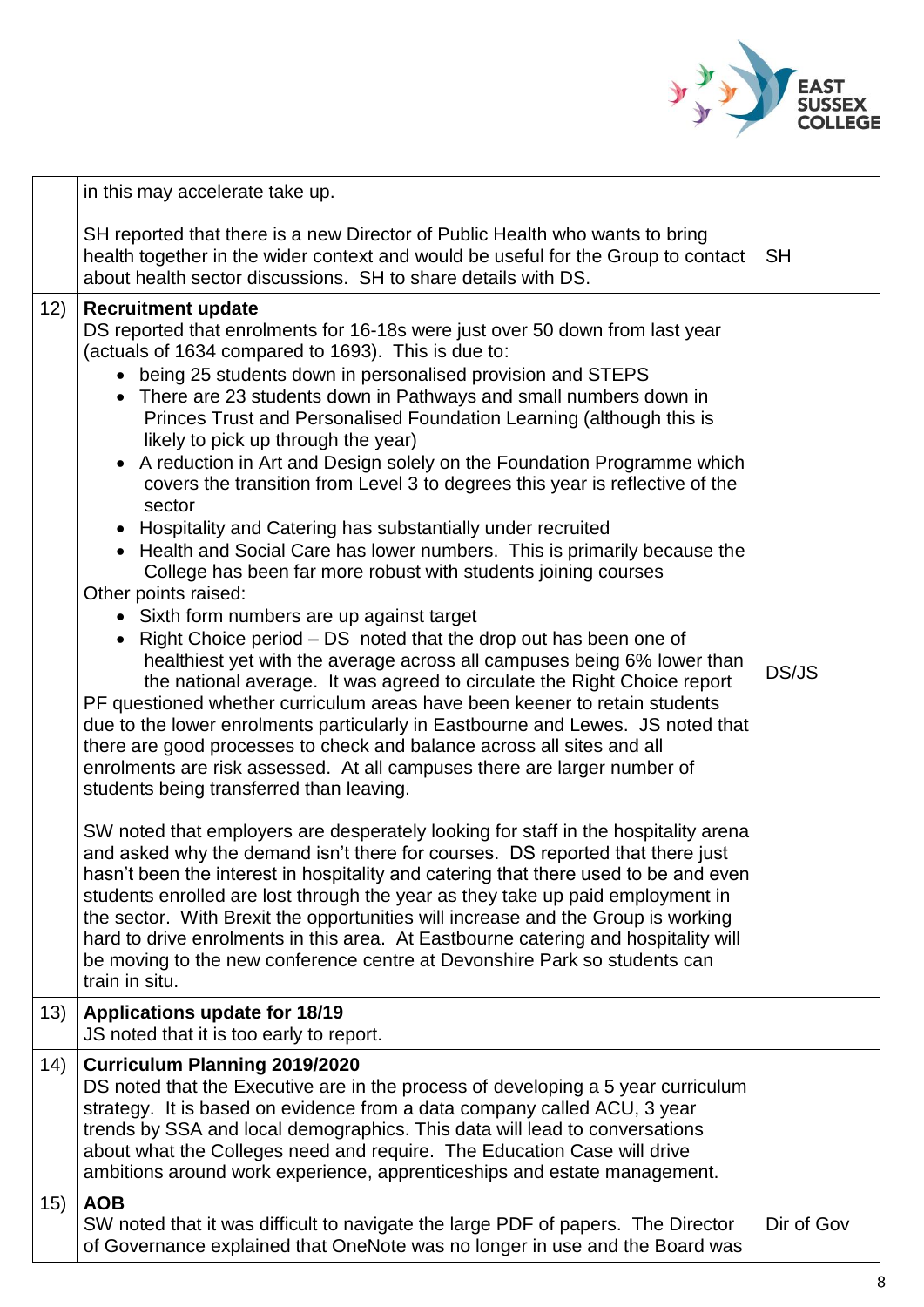

|     | in this may accelerate take up.                                                                                                                                                                                                                                                                                                                                                                                                                                                                                                                                                                                                                                                                                                                                                                                                                                                                                                                                                                                                                                                                                                                                                                                                                                                                                                                                                                                                                                                                                                                                                                                                                                                                                                                                                                                                                                                                                                                                                                                                                                                                           |            |
|-----|-----------------------------------------------------------------------------------------------------------------------------------------------------------------------------------------------------------------------------------------------------------------------------------------------------------------------------------------------------------------------------------------------------------------------------------------------------------------------------------------------------------------------------------------------------------------------------------------------------------------------------------------------------------------------------------------------------------------------------------------------------------------------------------------------------------------------------------------------------------------------------------------------------------------------------------------------------------------------------------------------------------------------------------------------------------------------------------------------------------------------------------------------------------------------------------------------------------------------------------------------------------------------------------------------------------------------------------------------------------------------------------------------------------------------------------------------------------------------------------------------------------------------------------------------------------------------------------------------------------------------------------------------------------------------------------------------------------------------------------------------------------------------------------------------------------------------------------------------------------------------------------------------------------------------------------------------------------------------------------------------------------------------------------------------------------------------------------------------------------|------------|
|     | SH reported that there is a new Director of Public Health who wants to bring<br>health together in the wider context and would be useful for the Group to contact<br>about health sector discussions. SH to share details with DS.                                                                                                                                                                                                                                                                                                                                                                                                                                                                                                                                                                                                                                                                                                                                                                                                                                                                                                                                                                                                                                                                                                                                                                                                                                                                                                                                                                                                                                                                                                                                                                                                                                                                                                                                                                                                                                                                        | <b>SH</b>  |
| 12) | <b>Recruitment update</b><br>DS reported that enrolments for 16-18s were just over 50 down from last year<br>(actuals of 1634 compared to 1693). This is due to:<br>• being 25 students down in personalised provision and STEPS<br>• There are 23 students down in Pathways and small numbers down in<br>Princes Trust and Personalised Foundation Learning (although this is<br>likely to pick up through the year)<br>• A reduction in Art and Design solely on the Foundation Programme which<br>covers the transition from Level 3 to degrees this year is reflective of the<br>sector<br>• Hospitality and Catering has substantially under recruited<br>• Health and Social Care has lower numbers. This is primarily because the<br>College has been far more robust with students joining courses<br>Other points raised:<br>• Sixth form numbers are up against target<br>• Right Choice period – DS noted that the drop out has been one of<br>healthiest yet with the average across all campuses being 6% lower than<br>the national average. It was agreed to circulate the Right Choice report<br>PF questioned whether curriculum areas have been keener to retain students<br>due to the lower enrolments particularly in Eastbourne and Lewes. JS noted that<br>there are good processes to check and balance across all sites and all<br>enrolments are risk assessed. At all campuses there are larger number of<br>students being transferred than leaving.<br>SW noted that employers are desperately looking for staff in the hospitality arena<br>and asked why the demand isn't there for courses. DS reported that there just<br>hasn't been the interest in hospitality and catering that there used to be and even<br>students enrolled are lost through the year as they take up paid employment in<br>the sector. With Brexit the opportunities will increase and the Group is working<br>hard to drive enrolments in this area. At Eastbourne catering and hospitality will<br>be moving to the new conference centre at Devonshire Park so students can<br>train in situ. | DS/JS      |
| 13) | <b>Applications update for 18/19</b><br>JS noted that it is too early to report.                                                                                                                                                                                                                                                                                                                                                                                                                                                                                                                                                                                                                                                                                                                                                                                                                                                                                                                                                                                                                                                                                                                                                                                                                                                                                                                                                                                                                                                                                                                                                                                                                                                                                                                                                                                                                                                                                                                                                                                                                          |            |
| 14) | <b>Curriculum Planning 2019/2020</b><br>DS noted that the Executive are in the process of developing a 5 year curriculum<br>strategy. It is based on evidence from a data company called ACU, 3 year<br>trends by SSA and local demographics. This data will lead to conversations<br>about what the Colleges need and require. The Education Case will drive<br>ambitions around work experience, apprenticeships and estate management.                                                                                                                                                                                                                                                                                                                                                                                                                                                                                                                                                                                                                                                                                                                                                                                                                                                                                                                                                                                                                                                                                                                                                                                                                                                                                                                                                                                                                                                                                                                                                                                                                                                                 |            |
| 15) | <b>AOB</b><br>SW noted that it was difficult to navigate the large PDF of papers. The Director<br>of Governance explained that OneNote was no longer in use and the Board was                                                                                                                                                                                                                                                                                                                                                                                                                                                                                                                                                                                                                                                                                                                                                                                                                                                                                                                                                                                                                                                                                                                                                                                                                                                                                                                                                                                                                                                                                                                                                                                                                                                                                                                                                                                                                                                                                                                             | Dir of Gov |